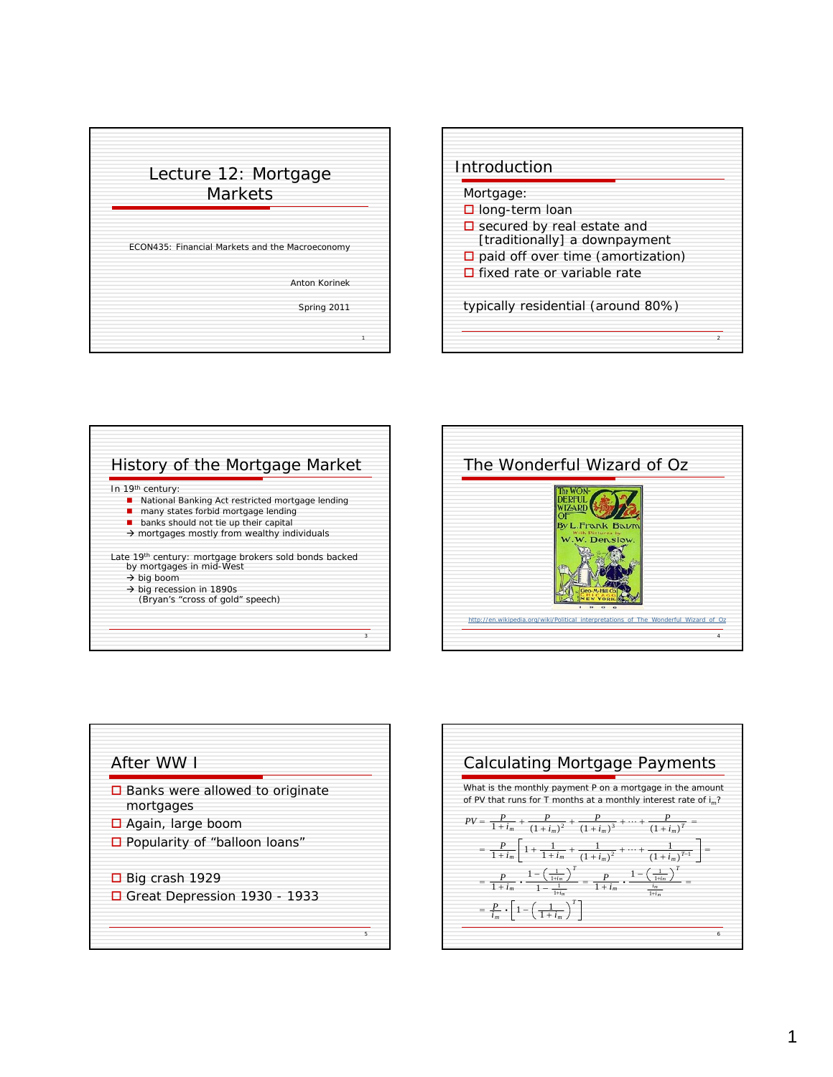









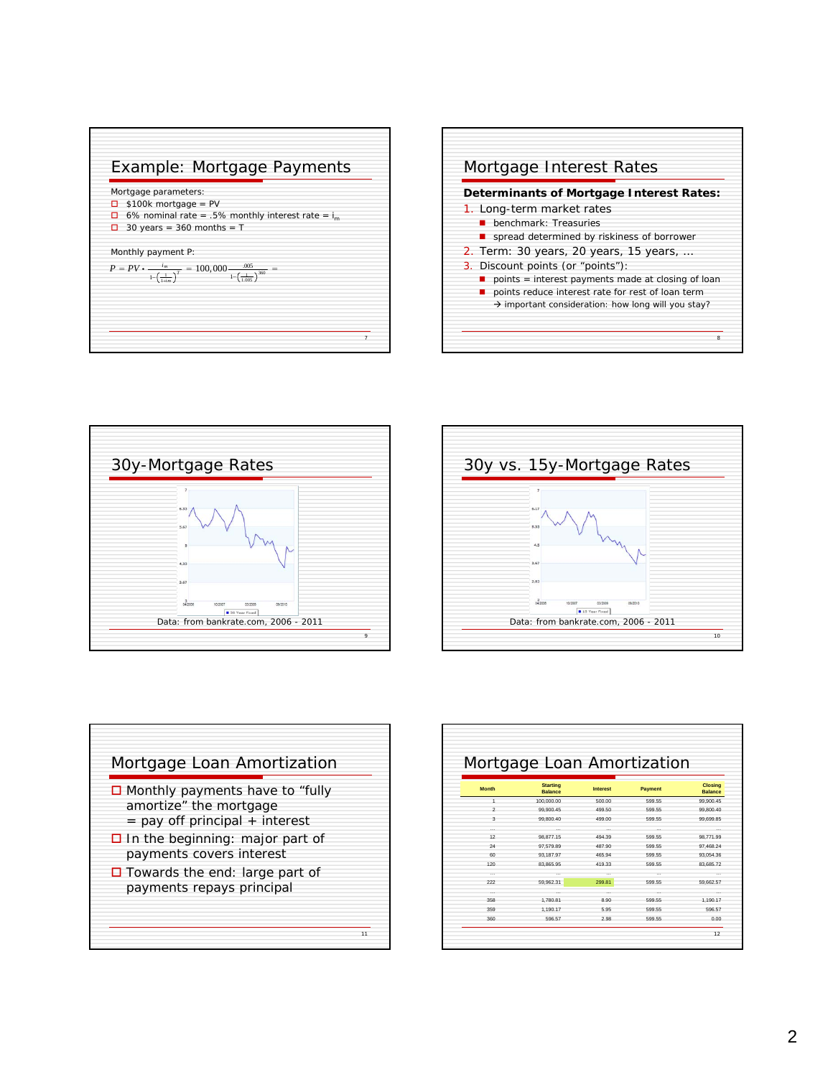









|                | Mortgage Loan Amortization        |                 |          |                                  |
|----------------|-----------------------------------|-----------------|----------|----------------------------------|
| <b>Month</b>   | <b>Starting</b><br><b>Balance</b> | <b>Interest</b> | Payment  | <b>Closing</b><br><b>Balance</b> |
| 1              | 100,000.00                        | 500.00          | 599.55   | 99,900.45                        |
| $\overline{2}$ | 99.900.45                         | 499.50          | 599.55   | 99.800.40                        |
| 3              | 99.800.40                         | 499.00          | 599.55   | 99.699.85                        |
| $\cdots$       |                                   | $\cdots$        | $\cdots$ |                                  |
| 12             | 98.877.15                         | 494.39          | 599.55   | 98.771.99                        |
| 24             | 97.579.89                         | 487.90          | 599.55   | 97.468.24                        |
| 60             | 93.187.97                         | 465.94          | 599.55   | 93.054.36                        |
| 120            | 83.865.95                         | 419.33          | 599.55   | 83.685.72                        |
|                |                                   |                 |          |                                  |
| 222            | 59.962.31                         | 299.81          | 599.55   | 59.662.57                        |
| $\cdots$       | $\cdots$                          | $\cdots$        | $\cdots$ |                                  |
| 358            | 1,780.81                          | 8.90            | 599.55   | 1.190.17                         |
| 359            | 1.190.17                          | 5.95            | 599.55   | 596.57                           |
| 360            | 596.57                            | 2.98            | 599.55   | 0.00                             |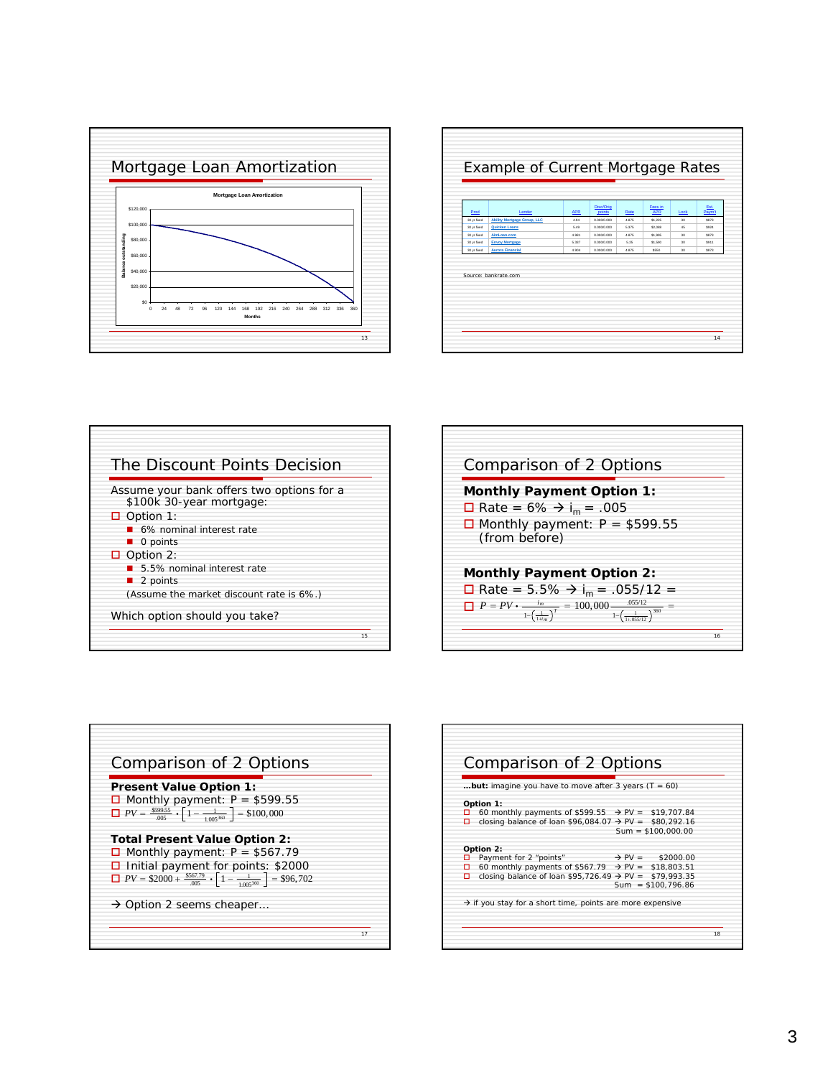

|                                                                                        | Paym't | Lock | Fees in<br><b>APR</b> | Rate  | Disc/Orig<br>points | <b>APR</b> | Lender                             | Prod        |
|----------------------------------------------------------------------------------------|--------|------|-----------------------|-------|---------------------|------------|------------------------------------|-------------|
|                                                                                        | \$873  | 30   | \$1,225               | 4.875 | 0.000/0.000         | 494        | <b>Ability Mortgage Group, LLC</b> | 30 yr fixed |
| Quicken Loans<br>30 yr fixed<br>0.000/0.000<br>5.375<br>\$2,088<br>5.49<br>45          | \$924  |      |                       |       |                     |            |                                    |             |
| AimLoan.com<br>30 yr fixed<br>0.000/0.000<br>4.981<br>4.875<br>\$1,995<br>30           | \$873  |      |                       |       |                     |            |                                    |             |
| <b>Envoy Mortgage</b><br>30 yr fixed<br>5.337<br>0.000/0.000<br>5.25<br>\$1,590<br>30  | \$911  |      |                       |       |                     |            |                                    |             |
| 30 yr fixed<br><b>Aurora Financial</b><br>4.904<br>0.000/0.000<br>4.875<br>\$550<br>30 | \$873  |      |                       |       |                     |            |                                    |             |
|                                                                                        |        |      |                       |       |                     |            |                                    |             |







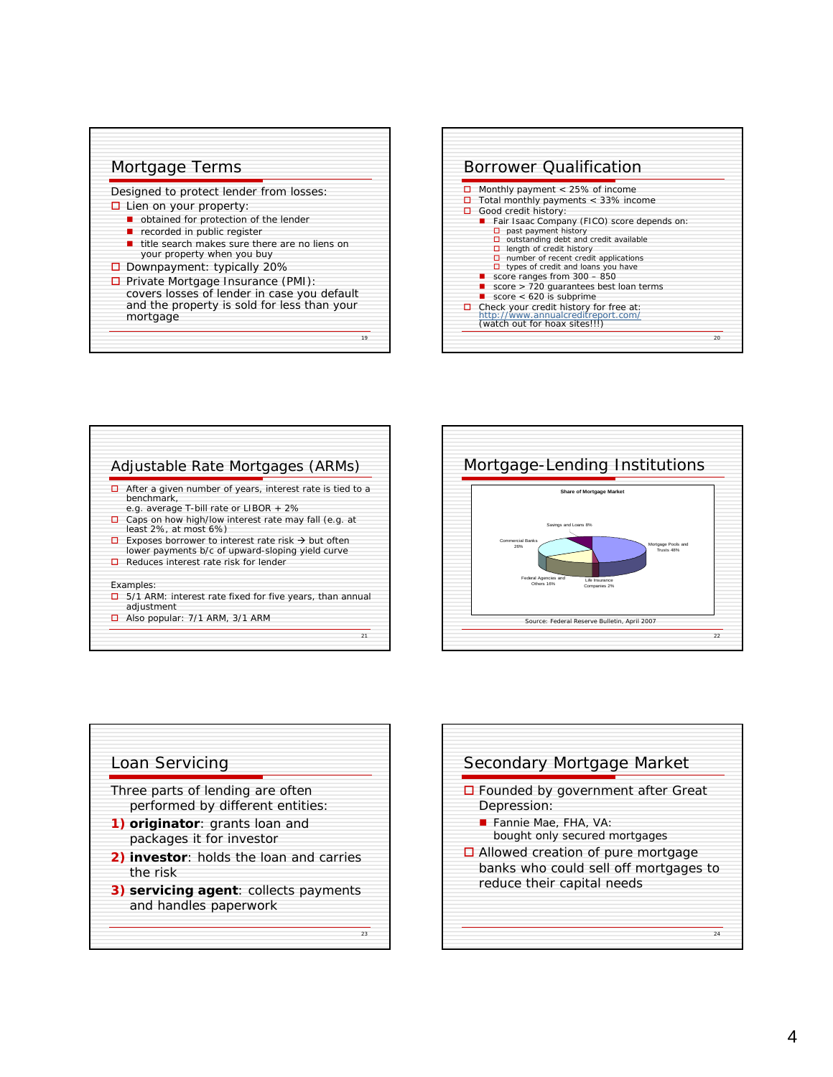